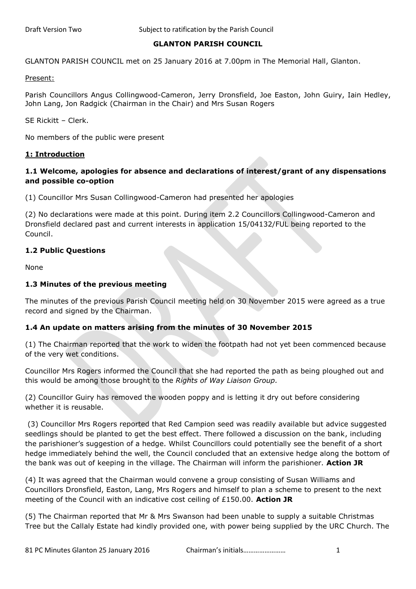# **GLANTON PARISH COUNCIL**

GLANTON PARISH COUNCIL met on 25 January 2016 at 7.00pm in The Memorial Hall, Glanton.

Present:

Parish Councillors Angus Collingwood-Cameron, Jerry Dronsfield, Joe Easton, John Guiry, Iain Hedley, John Lang, Jon Radgick (Chairman in the Chair) and Mrs Susan Rogers

SE Rickitt – Clerk.

No members of the public were present

#### **1: Introduction**

# **1.1 Welcome, apologies for absence and declarations of interest/grant of any dispensations and possible co-option**

(1) Councillor Mrs Susan Collingwood-Cameron had presented her apologies

(2) No declarations were made at this point. During item 2.2 Councillors Collingwood-Cameron and Dronsfield declared past and current interests in application 15/04132/FUL being reported to the Council.

## **1.2 Public Questions**

None

## **1.3 Minutes of the previous meeting**

The minutes of the previous Parish Council meeting held on 30 November 2015 were agreed as a true record and signed by the Chairman.

## **1.4 An update on matters arising from the minutes of 30 November 2015**

(1) The Chairman reported that the work to widen the footpath had not yet been commenced because of the very wet conditions.

Councillor Mrs Rogers informed the Council that she had reported the path as being ploughed out and this would be among those brought to the *Rights of Way Liaison Group.*

(2) Councillor Guiry has removed the wooden poppy and is letting it dry out before considering whether it is reusable.

(3) Councillor Mrs Rogers reported that Red Campion seed was readily available but advice suggested seedlings should be planted to get the best effect. There followed a discussion on the bank, including the parishioner's suggestion of a hedge. Whilst Councillors could potentially see the benefit of a short hedge immediately behind the well, the Council concluded that an extensive hedge along the bottom of the bank was out of keeping in the village. The Chairman will inform the parishioner. **Action JR**

(4) It was agreed that the Chairman would convene a group consisting of Susan Williams and Councillors Dronsfield, Easton, Lang, Mrs Rogers and himself to plan a scheme to present to the next meeting of the Council with an indicative cost ceiling of £150.00. **Action JR**

(5) The Chairman reported that Mr & Mrs Swanson had been unable to supply a suitable Christmas Tree but the Callaly Estate had kindly provided one, with power being supplied by the URC Church. The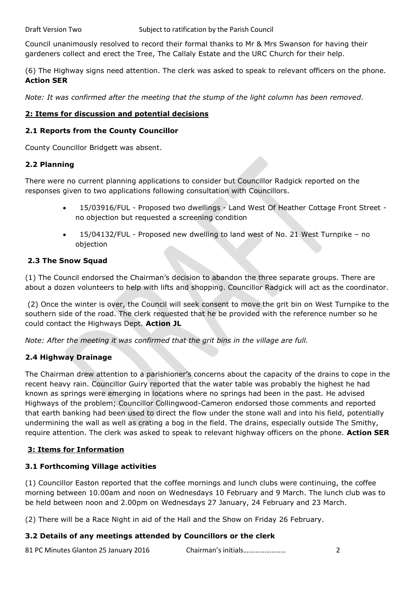Council unanimously resolved to record their formal thanks to Mr & Mrs Swanson for having their gardeners collect and erect the Tree, The Callaly Estate and the URC Church for their help.

(6) The Highway signs need attention. The clerk was asked to speak to relevant officers on the phone. **Action SER**

*Note: It was confirmed after the meeting that the stump of the light column has been removed.*

# **2: Items for discussion and potential decisions**

## **2.1 Reports from the County Councillor**

County Councillor Bridgett was absent.

# **2.2 Planning**

There were no current planning applications to consider but Councillor Radgick reported on the responses given to two applications following consultation with Councillors.

- 15/03916/FUL Proposed two dwellings Land West Of Heather Cottage Front Street no objection but requested a screening condition
- 15/04132/FUL Proposed new dwelling to land west of No. 21 West Turnpike no objection

# **2.3 The Snow Squad**

(1) The Council endorsed the Chairman's decision to abandon the three separate groups. There are about a dozen volunteers to help with lifts and shopping. Councillor Radgick will act as the coordinator.

(2) Once the winter is over, the Council will seek consent to move the grit bin on West Turnpike to the southern side of the road. The clerk requested that he be provided with the reference number so he could contact the Highways Dept. **Action JL**

*Note: After the meeting it was confirmed that the grit bins in the village are full.*

# **2.4 Highway Drainage**

The Chairman drew attention to a parishioner's concerns about the capacity of the drains to cope in the recent heavy rain. Councillor Guiry reported that the water table was probably the highest he had known as springs were emerging in locations where no springs had been in the past. He advised Highways of the problem; Councillor Collingwood-Cameron endorsed those comments and reported that earth banking had been used to direct the flow under the stone wall and into his field, potentially undermining the wall as well as crating a bog in the field. The drains, especially outside The Smithy, require attention. The clerk was asked to speak to relevant highway officers on the phone. **Action SER**

# **3: Items for Information**

# **3.1 Forthcoming Village activities**

(1) Councillor Easton reported that the coffee mornings and lunch clubs were continuing, the coffee morning between 10.00am and noon on Wednesdays 10 February and 9 March. The lunch club was to be held between noon and 2.00pm on Wednesdays 27 January, 24 February and 23 March.

(2) There will be a Race Night in aid of the Hall and the Show on Friday 26 February.

# **3.2 Details of any meetings attended by Councillors or the clerk**

81 PC Minutes Glanton 25 January 2016 Chairman's initials…………………… 2